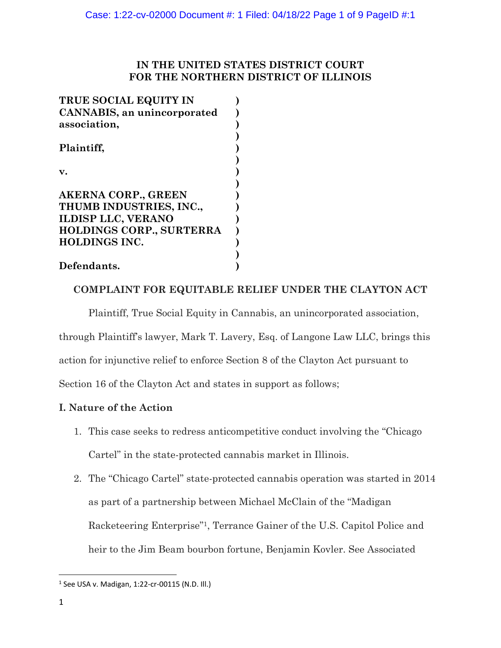## **IN THE UNITED STATES DISTRICT COURT FOR THE NORTHERN DISTRICT OF ILLINOIS**

| TRUE SOCIAL EQUITY IN              |  |
|------------------------------------|--|
| <b>CANNABIS, an unincorporated</b> |  |
| association,                       |  |
|                                    |  |
|                                    |  |
|                                    |  |
| <b>AKERNA CORP., GREEN</b>         |  |
| THUMB INDUSTRIES, INC.,            |  |
| <b>ILDISP LLC, VERANO</b>          |  |
| HOLDINGS CORP., SURTERRA           |  |
| <b>HOLDINGS INC.</b>               |  |
|                                    |  |
| Defendants.                        |  |

# **COMPLAINT FOR EQUITABLE RELIEF UNDER THE CLAYTON ACT**

Plaintiff, True Social Equity in Cannabis, an unincorporated association,

through Plaintiff's lawyer, Mark T. Lavery, Esq. of Langone Law LLC, brings this

action for injunctive relief to enforce Section 8 of the Clayton Act pursuant to

Section 16 of the Clayton Act and states in support as follows;

# **I. Nature of the Action**

- 1. This case seeks to redress anticompetitive conduct involving the "Chicago Cartel" in the state-protected cannabis market in Illinois.
- 2. The "Chicago Cartel" state-protected cannabis operation was started in 2014 as part of a partnership between Michael McClain of the "Madigan Racketeering Enterprise"1, Terrance Gainer of the U.S. Capitol Police and heir to the Jim Beam bourbon fortune, Benjamin Kovler. See Associated

<sup>1</sup> See USA v. Madigan, 1:22-cr-00115 (N.D. Ill.)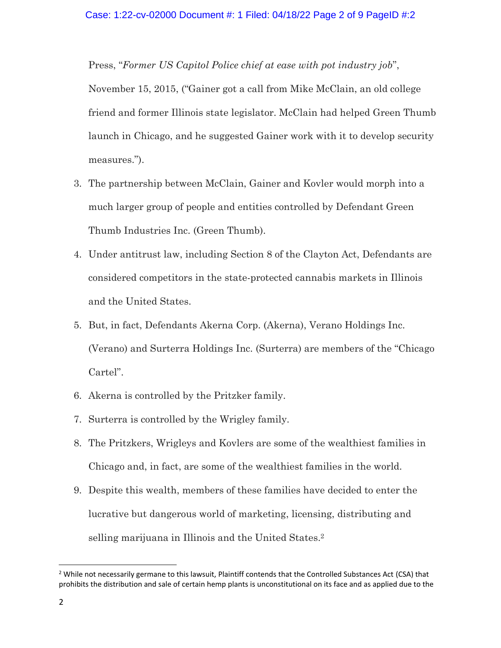Press, "*Former US Capitol Police chief at ease with pot industry job*",

November 15, 2015, ("Gainer got a call from Mike McClain, an old college friend and former Illinois state legislator. McClain had helped Green Thumb launch in Chicago, and he suggested Gainer work with it to develop security measures.").

- 3. The partnership between McClain, Gainer and Kovler would morph into a much larger group of people and entities controlled by Defendant Green Thumb Industries Inc. (Green Thumb).
- 4. Under antitrust law, including Section 8 of the Clayton Act, Defendants are considered competitors in the state-protected cannabis markets in Illinois and the United States.
- 5. But, in fact, Defendants Akerna Corp. (Akerna), Verano Holdings Inc. (Verano) and Surterra Holdings Inc. (Surterra) are members of the "Chicago Cartel".
- 6. Akerna is controlled by the Pritzker family.
- 7. Surterra is controlled by the Wrigley family.
- 8. The Pritzkers, Wrigleys and Kovlers are some of the wealthiest families in Chicago and, in fact, are some of the wealthiest families in the world.
- 9. Despite this wealth, members of these families have decided to enter the lucrative but dangerous world of marketing, licensing, distributing and selling marijuana in Illinois and the United States. 2

<sup>&</sup>lt;sup>2</sup> While not necessarily germane to this lawsuit, Plaintiff contends that the Controlled Substances Act (CSA) that prohibits the distribution and sale of certain hemp plants is unconstitutional on its face and as applied due to the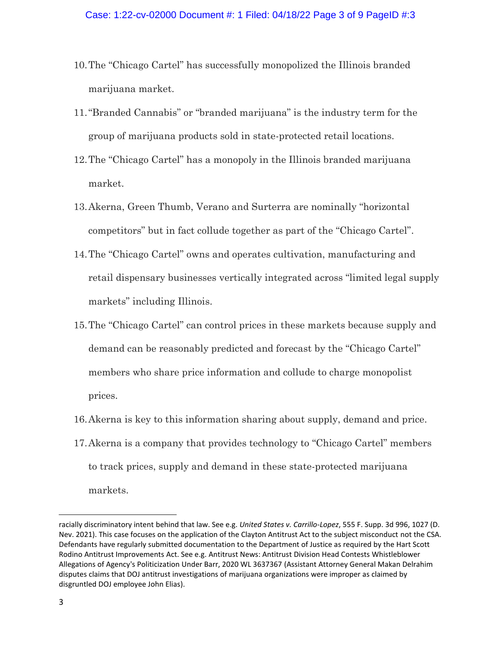- 10.The "Chicago Cartel" has successfully monopolized the Illinois branded marijuana market.
- 11."Branded Cannabis" or "branded marijuana" is the industry term for the group of marijuana products sold in state-protected retail locations.
- 12.The "Chicago Cartel" has a monopoly in the Illinois branded marijuana market.
- 13.Akerna, Green Thumb, Verano and Surterra are nominally "horizontal competitors" but in fact collude together as part of the "Chicago Cartel".
- 14.The "Chicago Cartel" owns and operates cultivation, manufacturing and retail dispensary businesses vertically integrated across "limited legal supply markets" including Illinois.
- 15.The "Chicago Cartel" can control prices in these markets because supply and demand can be reasonably predicted and forecast by the "Chicago Cartel" members who share price information and collude to charge monopolist prices.
- 16.Akerna is key to this information sharing about supply, demand and price.
- 17.Akerna is a company that provides technology to "Chicago Cartel" members to track prices, supply and demand in these state-protected marijuana markets.

racially discriminatory intent behind that law. See e.g. *United States v. Carrillo-Lopez*, 555 F. Supp. 3d 996, 1027 (D. Nev. 2021). This case focuses on the application of the Clayton Antitrust Act to the subject misconduct not the CSA. Defendants have regularly submitted documentation to the Department of Justice as required by the Hart Scott Rodino Antitrust Improvements Act. See e.g. Antitrust News: Antitrust Division Head Contests Whistleblower Allegations of Agency's Politicization Under Barr, 2020 WL 3637367 (Assistant Attorney General Makan Delrahim disputes claims that DOJ antitrust investigations of marijuana organizations were improper as claimed by disgruntled DOJ employee John Elias).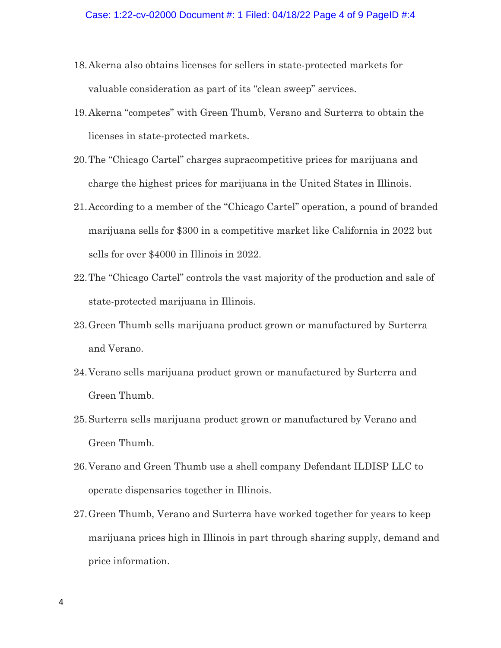- 18.Akerna also obtains licenses for sellers in state-protected markets for valuable consideration as part of its "clean sweep" services.
- 19.Akerna "competes" with Green Thumb, Verano and Surterra to obtain the licenses in state-protected markets.
- 20.The "Chicago Cartel" charges supracompetitive prices for marijuana and charge the highest prices for marijuana in the United States in Illinois.
- 21.According to a member of the "Chicago Cartel" operation, a pound of branded marijuana sells for \$300 in a competitive market like California in 2022 but sells for over \$4000 in Illinois in 2022.
- 22.The "Chicago Cartel" controls the vast majority of the production and sale of state-protected marijuana in Illinois.
- 23.Green Thumb sells marijuana product grown or manufactured by Surterra and Verano.
- 24.Verano sells marijuana product grown or manufactured by Surterra and Green Thumb.
- 25.Surterra sells marijuana product grown or manufactured by Verano and Green Thumb.
- 26.Verano and Green Thumb use a shell company Defendant ILDISP LLC to operate dispensaries together in Illinois.
- 27.Green Thumb, Verano and Surterra have worked together for years to keep marijuana prices high in Illinois in part through sharing supply, demand and price information.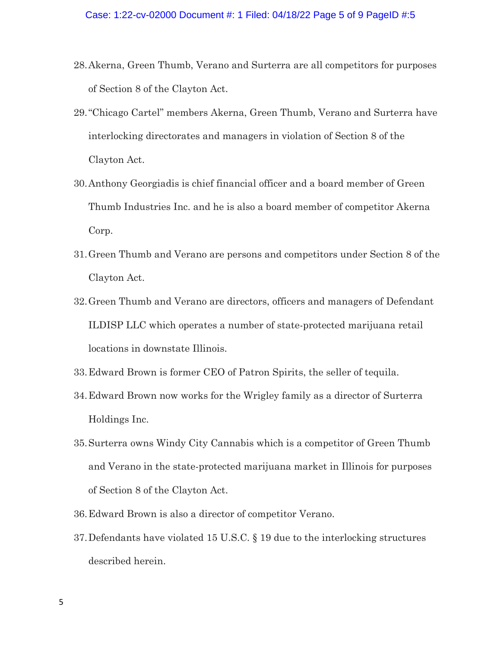- 28.Akerna, Green Thumb, Verano and Surterra are all competitors for purposes of Section 8 of the Clayton Act.
- 29."Chicago Cartel" members Akerna, Green Thumb, Verano and Surterra have interlocking directorates and managers in violation of Section 8 of the Clayton Act.
- 30.Anthony Georgiadis is chief financial officer and a board member of Green Thumb Industries Inc. and he is also a board member of competitor Akerna Corp.
- 31.Green Thumb and Verano are persons and competitors under Section 8 of the Clayton Act.
- 32.Green Thumb and Verano are directors, officers and managers of Defendant ILDISP LLC which operates a number of state-protected marijuana retail locations in downstate Illinois.
- 33.Edward Brown is former CEO of Patron Spirits, the seller of tequila.
- 34.Edward Brown now works for the Wrigley family as a director of Surterra Holdings Inc.
- 35.Surterra owns Windy City Cannabis which is a competitor of Green Thumb and Verano in the state-protected marijuana market in Illinois for purposes of Section 8 of the Clayton Act.
- 36.Edward Brown is also a director of competitor Verano.
- 37.Defendants have violated 15 U.S.C. § 19 due to the interlocking structures described herein.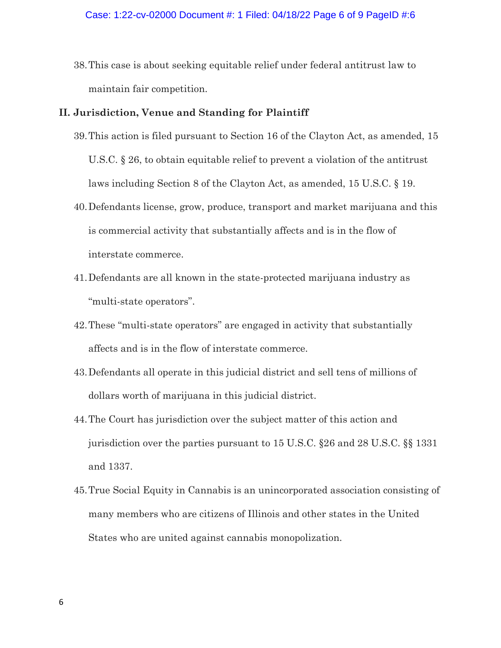38.This case is about seeking equitable relief under federal antitrust law to maintain fair competition.

#### **II. Jurisdiction, Venue and Standing for Plaintiff**

- 39.This action is filed pursuant to Section 16 of the Clayton Act, as amended, 15 U.S.C. § 26, to obtain equitable relief to prevent a violation of the antitrust laws including Section 8 of the Clayton Act, as amended, 15 U.S.C. § 19.
- 40.Defendants license, grow, produce, transport and market marijuana and this is commercial activity that substantially affects and is in the flow of interstate commerce.
- 41.Defendants are all known in the state-protected marijuana industry as "multi-state operators".
- 42.These "multi-state operators" are engaged in activity that substantially affects and is in the flow of interstate commerce.
- 43.Defendants all operate in this judicial district and sell tens of millions of dollars worth of marijuana in this judicial district.
- 44.The Court has jurisdiction over the subject matter of this action and jurisdiction over the parties pursuant to 15 U.S.C. §26 and 28 U.S.C. §§ 1331 and 1337.
- 45.True Social Equity in Cannabis is an unincorporated association consisting of many members who are citizens of Illinois and other states in the United States who are united against cannabis monopolization.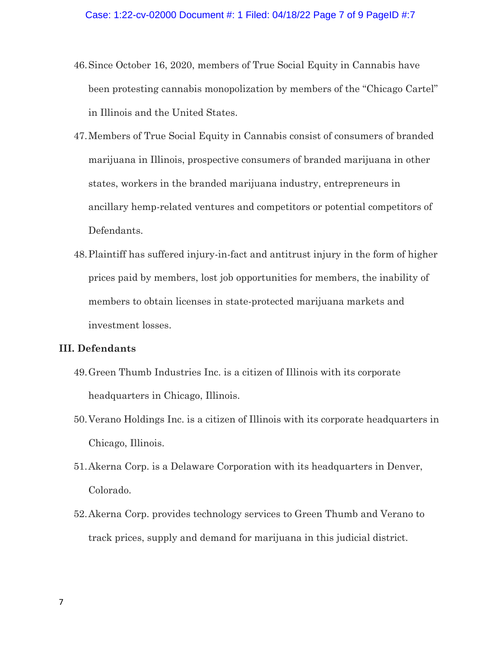- 46.Since October 16, 2020, members of True Social Equity in Cannabis have been protesting cannabis monopolization by members of the "Chicago Cartel" in Illinois and the United States.
- 47.Members of True Social Equity in Cannabis consist of consumers of branded marijuana in Illinois, prospective consumers of branded marijuana in other states, workers in the branded marijuana industry, entrepreneurs in ancillary hemp-related ventures and competitors or potential competitors of Defendants.
- 48.Plaintiff has suffered injury-in-fact and antitrust injury in the form of higher prices paid by members, lost job opportunities for members, the inability of members to obtain licenses in state-protected marijuana markets and investment losses.

## **III. Defendants**

- 49.Green Thumb Industries Inc. is a citizen of Illinois with its corporate headquarters in Chicago, Illinois.
- 50.Verano Holdings Inc. is a citizen of Illinois with its corporate headquarters in Chicago, Illinois.
- 51.Akerna Corp. is a Delaware Corporation with its headquarters in Denver, Colorado.
- 52.Akerna Corp. provides technology services to Green Thumb and Verano to track prices, supply and demand for marijuana in this judicial district.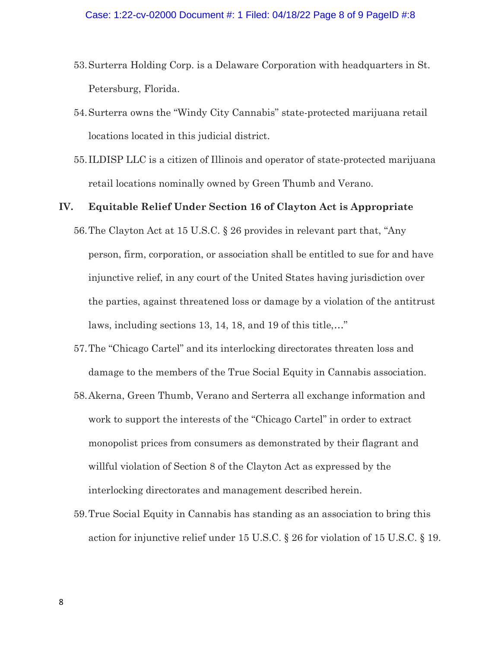- 53.Surterra Holding Corp. is a Delaware Corporation with headquarters in St. Petersburg, Florida.
- 54.Surterra owns the "Windy City Cannabis" state-protected marijuana retail locations located in this judicial district.
- 55.ILDISP LLC is a citizen of Illinois and operator of state-protected marijuana retail locations nominally owned by Green Thumb and Verano.

### **IV. Equitable Relief Under Section 16 of Clayton Act is Appropriate**

- 56.The Clayton Act at 15 U.S.C. § 26 provides in relevant part that, "Any person, firm, corporation, or association shall be entitled to sue for and have injunctive relief, in any court of the United States having jurisdiction over the parties, against threatened loss or damage by a violation of the antitrust laws, including sections 13, 14, 18, and 19 of this title,…"
- 57.The "Chicago Cartel" and its interlocking directorates threaten loss and damage to the members of the True Social Equity in Cannabis association.
- 58.Akerna, Green Thumb, Verano and Serterra all exchange information and work to support the interests of the "Chicago Cartel" in order to extract monopolist prices from consumers as demonstrated by their flagrant and willful violation of Section 8 of the Clayton Act as expressed by the interlocking directorates and management described herein.
- 59.True Social Equity in Cannabis has standing as an association to bring this action for injunctive relief under 15 U.S.C. § 26 for violation of 15 U.S.C. § 19.